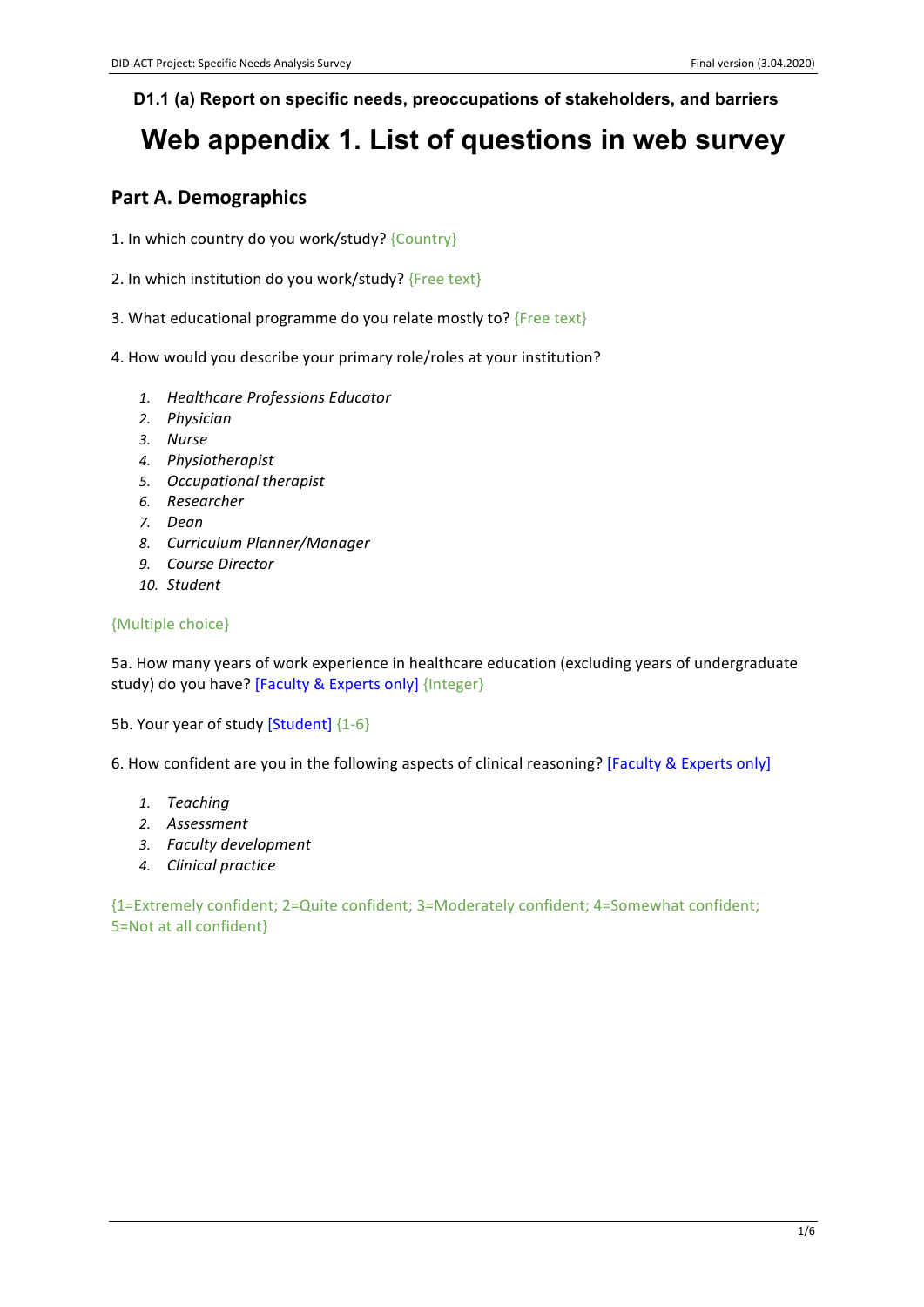### **D1.1 (a) Report on specific needs, preoccupations of stakeholders, and barriers**

# **Web appendix 1. List of questions in web survey**

# **Part A. Demographics**

- 1. In which country do you work/study? {Country}
- 2. In which institution do you work/study?  ${Free text}$
- 3. What educational programme do you relate mostly to?  ${Free text}$
- 4. How would you describe your primary role/roles at your institution?
	- *1. Healthcare Professions Educator*
	- *2. Physician*
	- *3. Nurse*
	- *4. Physiotherapist*
	- *5. Occupational therapist*
	- *6. Researcher*
	- *7. Dean*
	- *8. Curriculum Planner/Manager*
	- *9. Course Director*
	- *10. Student*

#### {Multiple choice}

5a. How many years of work experience in healthcare education (excluding years of undergraduate study) do you have? [Faculty & Experts only] {Integer}

5b. Your year of study [Student] {1-6}

6. How confident are you in the following aspects of clinical reasoning? [Faculty & Experts only]

- *1. Teaching*
- *2. Assessment*
- *3. Faculty development*
- *4. Clinical practice*

{1=Extremely confident; 2=Quite confident; 3=Moderately confident; 4=Somewhat confident; 5=Not at all confident}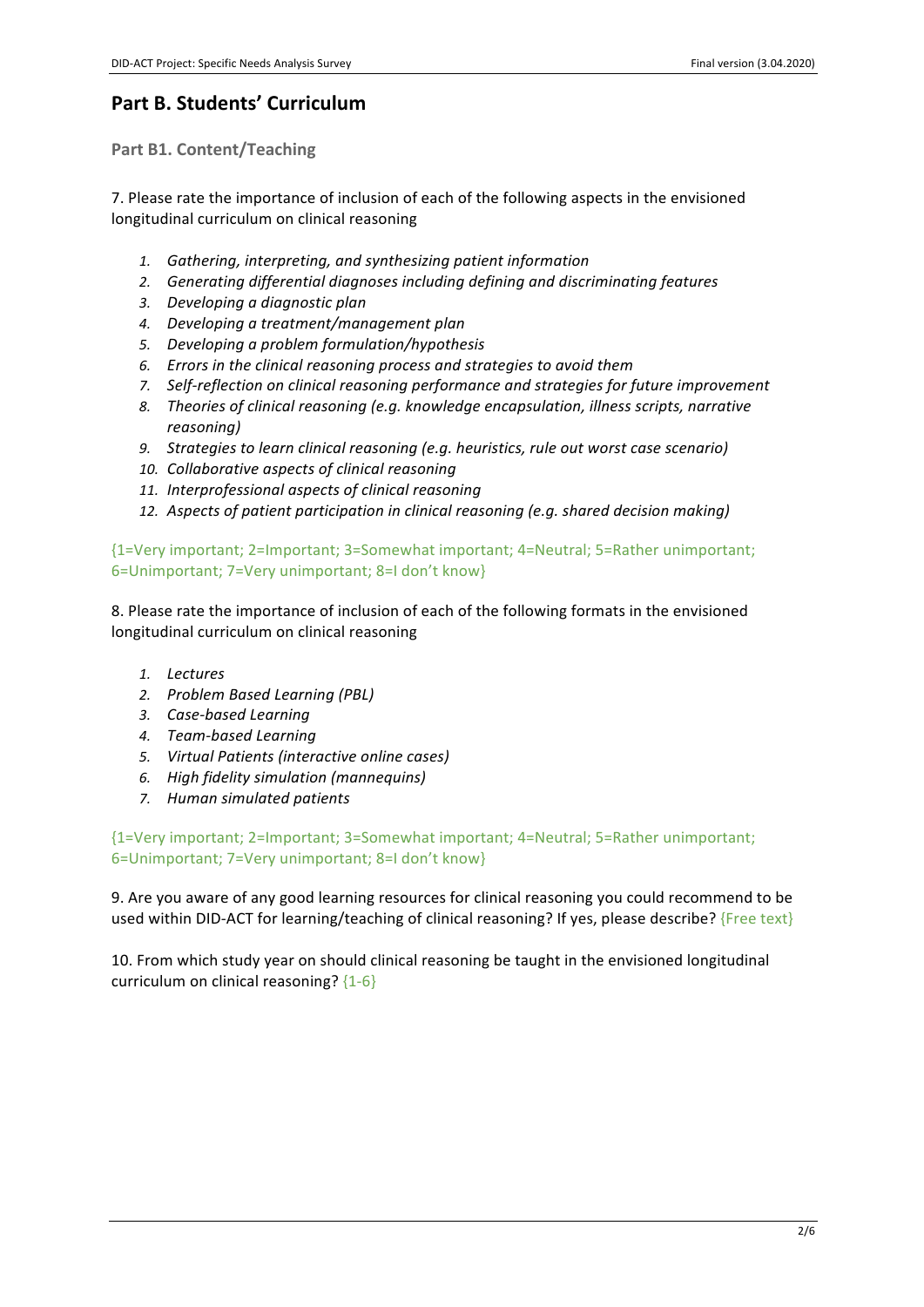## **Part B. Students' Curriculum**

**Part B1. Content/Teaching** 

7. Please rate the importance of inclusion of each of the following aspects in the envisioned longitudinal curriculum on clinical reasoning

- 1. Gathering, interpreting, and synthesizing patient information
- 2. *Generating differential diagnoses including defining and discriminating features*
- *3. Developing a diagnostic plan*
- *4. Developing a treatment/management plan*
- *5. Developing a problem formulation/hypothesis*
- 6. *Errors in the clinical reasoning process and strategies to avoid them*
- 7. Self-reflection on clinical reasoning performance and strategies for future improvement
- 8. Theories of clinical reasoning (e.g. knowledge encapsulation, illness scripts, narrative *reasoning)*
- 9. Strategies to learn clinical reasoning (e.g. heuristics, rule out worst case scenario)
- 10. Collaborative aspects of clinical reasoning
- *11. Interprofessional aspects of clinical reasoning*
- 12. Aspects of patient participation in clinical reasoning (e.g. shared decision making)

{1=Very important; 2=Important; 3=Somewhat important; 4=Neutral; 5=Rather unimportant; 6=Unimportant; 7=Very unimportant; 8=I don't know}

8. Please rate the importance of inclusion of each of the following formats in the envisioned longitudinal curriculum on clinical reasoning

- *1. Lectures*
- *2. Problem Based Learning (PBL)*
- *3. Case-based Learning*
- *4. Team-based Learning*
- *5. Virtual Patients (interactive online cases)*
- *6. High fidelity simulation (mannequins)*
- *7. Human simulated patients*

{1=Very important; 2=Important; 3=Somewhat important; 4=Neutral; 5=Rather unimportant; 6=Unimportant: 7=Very unimportant: 8=I don't know}

9. Are you aware of any good learning resources for clinical reasoning you could recommend to be used within DID-ACT for learning/teaching of clinical reasoning? If yes, please describe? {Free text}

10. From which study year on should clinical reasoning be taught in the envisioned longitudinal curriculum on clinical reasoning?  ${1-6}$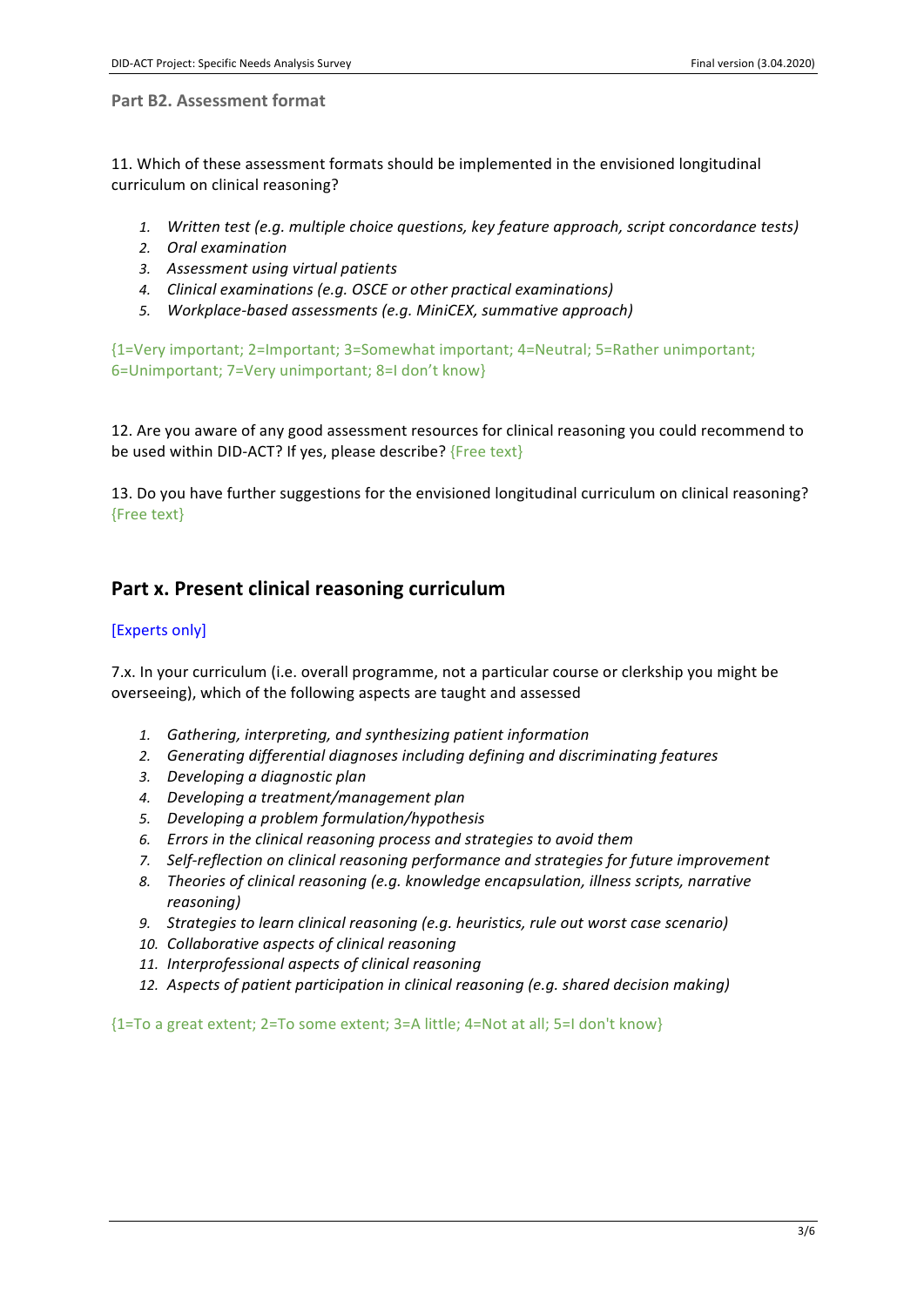**Part B2. Assessment format** 

11. Which of these assessment formats should be implemented in the envisioned longitudinal curriculum on clinical reasoning?

- 1. Written test (e.g. multiple choice questions, key feature approach, script concordance tests)
- *2. Oral examination*
- *3. Assessment using virtual patients*
- 4. *Clinical examinations (e.g. OSCE or other practical examinations)*
- *5. Workplace-based assessments (e.g. MiniCEX, summative approach)*

{1=Very important; 2=Important; 3=Somewhat important; 4=Neutral; 5=Rather unimportant; 6=Unimportant; 7=Very unimportant; 8=I don't know}

12. Are you aware of any good assessment resources for clinical reasoning you could recommend to be used within DID-ACT? If yes, please describe? {Free text}

13. Do you have further suggestions for the envisioned longitudinal curriculum on clinical reasoning? {Free text}

## Part x. Present clinical reasoning curriculum

#### [Experts only]

7.x. In your curriculum (i.e. overall programme, not a particular course or clerkship you might be overseeing), which of the following aspects are taught and assessed

- 1. Gathering, interpreting, and synthesizing patient information
- 2. *Generating differential diagnoses including defining and discriminating features*
- *3. Developing a diagnostic plan*
- *4. Developing a treatment/management plan*
- *5. Developing a problem formulation/hypothesis*
- 6. *Errors in the clinical reasoning process and strategies to avoid them*
- 7. Self-reflection on clinical reasoning performance and strategies for future improvement
- 8. Theories of clinical reasoning (e.g. knowledge encapsulation, illness scripts, narrative *reasoning)*
- 9. Strategies to learn clinical reasoning (e.g. heuristics, rule out worst case scenario)
- 10. Collaborative aspects of clinical reasoning
- *11. Interprofessional aspects of clinical reasoning*
- 12. Aspects of patient participation in clinical reasoning (e.g. shared decision making)

 ${1=}$ To a great extent; 2=To some extent; 3=A little; 4=Not at all; 5=I don't know}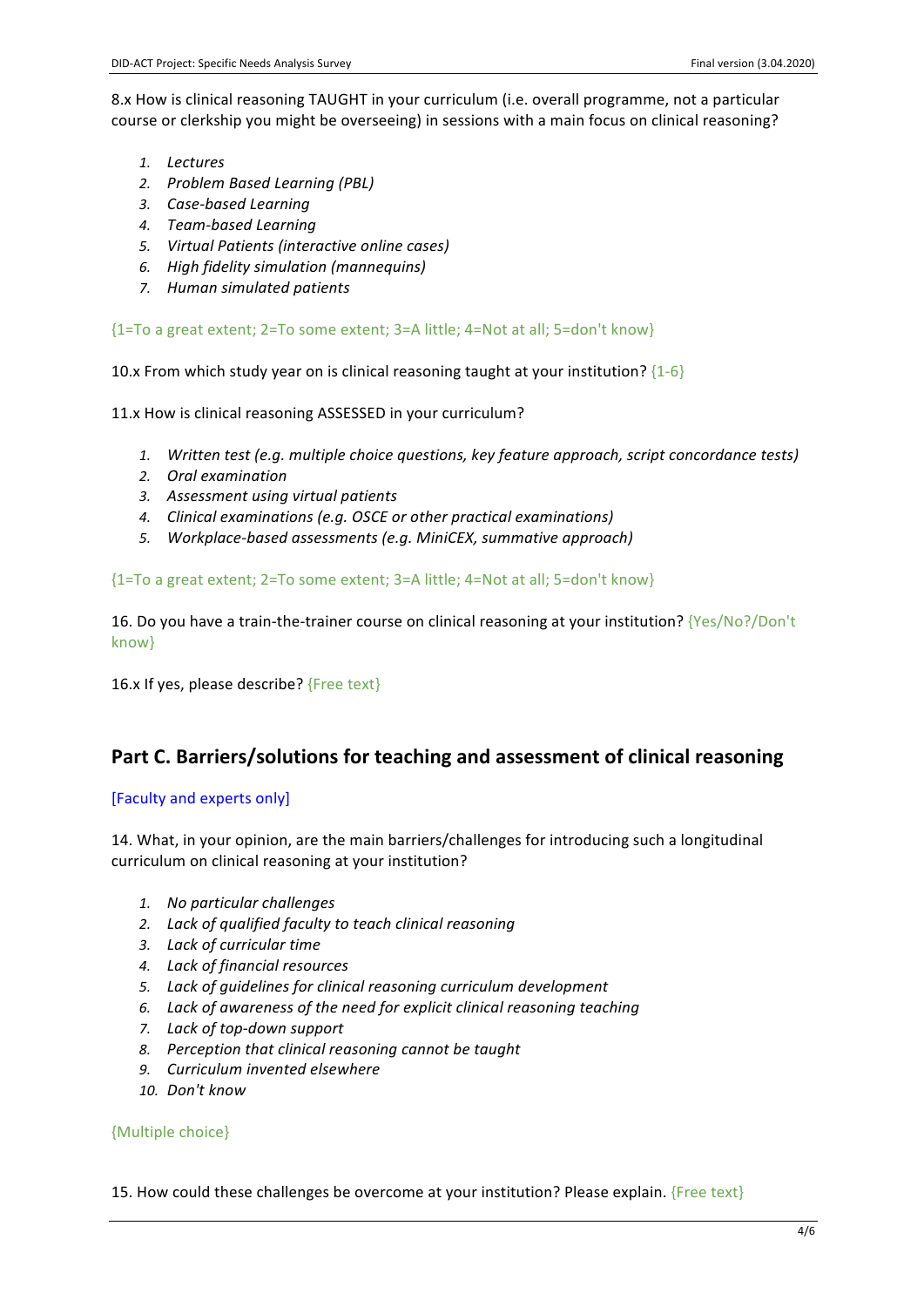8.x How is clinical reasoning TAUGHT in your curriculum (i.e. overall programme, not a particular course or clerkship you might be overseeing) in sessions with a main focus on clinical reasoning?

- *1. Lectures*
- *2. Problem Based Learning (PBL)*
- *3. Case-based Learning*
- *4. Team-based Learning*
- *5. Virtual Patients (interactive online cases)*
- *6. High fidelity simulation (mannequins)*
- *7. Human simulated patients*

{1=To a great extent; 2=To some extent; 3=A little; 4=Not at all; 5=don't know}

10.x From which study year on is clinical reasoning taught at your institution?  $\{1-6\}$ 

11.x How is clinical reasoning ASSESSED in your curriculum?

- 1. Written test (e.g. multiple choice questions, key feature approach, script concordance tests)
- *2. Oral examination*
- *3. Assessment using virtual patients*
- 4. *Clinical examinations (e.g. OSCE or other practical examinations)*
- *5. Workplace-based assessments (e.g. MiniCEX, summative approach)*

{1=To a great extent; 2=To some extent; 3=A little; 4=Not at all; 5=don't know}

16. Do you have a train-the-trainer course on clinical reasoning at your institution? {Yes/No?/Don't know}

16.x If yes, please describe?  ${Free text}$ 

## **Part C. Barriers/solutions for teaching and assessment of clinical reasoning**

#### [Faculty and experts only]

14. What, in your opinion, are the main barriers/challenges for introducing such a longitudinal curriculum on clinical reasoning at your institution?

- *1. No particular challenges*
- *2. Lack of qualified faculty to teach clinical reasoning*
- *3. Lack of curricular time*
- *4. Lack of financial resources*
- *5. Lack of guidelines for clinical reasoning curriculum development*
- *6. Lack of awareness of the need for explicit clinical reasoning teaching*
- *7. Lack of top-down support*
- *8. Perception that clinical reasoning cannot be taught*
- *9. Curriculum invented elsewhere*
- *10. Don't know*

#### {Multiple choice}

15. How could these challenges be overcome at your institution? Please explain. {Free text}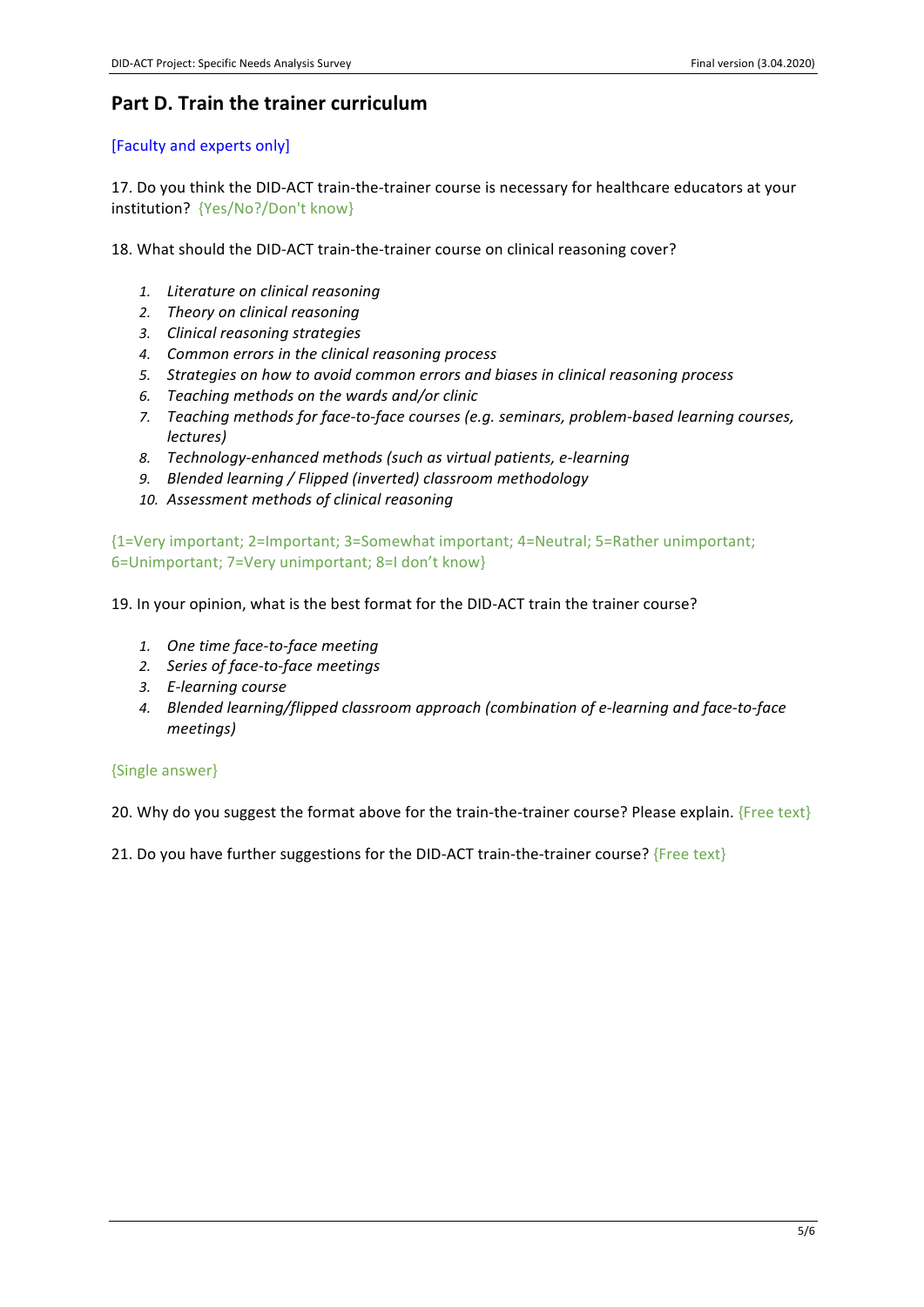## **Part D. Train the trainer curriculum**

#### [Faculty and experts only]

17. Do you think the DID-ACT train-the-trainer course is necessary for healthcare educators at your institution? {Yes/No?/Don't know}

18. What should the DID-ACT train-the-trainer course on clinical reasoning cover?

- *1. Literature on clinical reasoning*
- *2. Theory on clinical reasoning*
- *3. Clinical reasoning strategies*
- *4. Common errors in the clinical reasoning process*
- 5. Strategies on how to avoid common errors and biases in clinical reasoning process
- *6. Teaching methods on the wards and/or clinic*
- *7.* Teaching methods for face-to-face courses (e.g. seminars, problem-based learning courses, *lectures)*
- *8. Technology-enhanced methods (such as virtual patients, e-learning*
- *9. Blended learning / Flipped (inverted) classroom methodology*
- 10. Assessment methods of clinical reasoning

{1=Very important; 2=Important; 3=Somewhat important; 4=Neutral; 5=Rather unimportant; 6=Unimportant; 7=Very unimportant; 8=I don't know}

19. In your opinion, what is the best format for the DID-ACT train the trainer course?

- 1. One time face-to-face meeting
- *2. Series of face-to-face meetings*
- *3. E-learning course*
- 4. Blended learning/flipped classroom approach (combination of e-learning and face-to-face *meetings)*

#### {Single answer}

20. Why do you suggest the format above for the train-the-trainer course? Please explain. {Free text}

21. Do you have further suggestions for the DID-ACT train-the-trainer course?  ${Free text}$